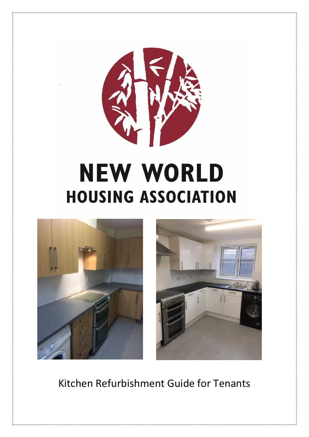

# **NEW WORLD HOUSING ASSOCIATION**





Kitchen Refurbishment Guide for Tenants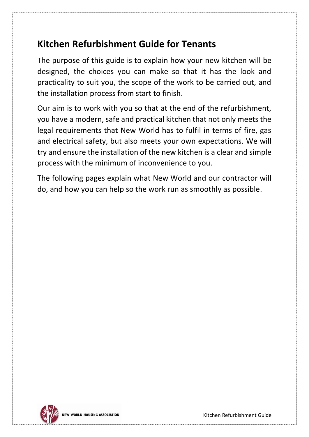#### **Kitchen Refurbishment Guide for Tenants**

The purpose of this guide is to explain how your new kitchen will be designed, the choices you can make so that it has the look and practicality to suit you, the scope of the work to be carried out, and the installation process from start to finish.

Our aim is to work with you so that at the end of the refurbishment, you have a modern, safe and practical kitchen that not only meets the legal requirements that New World has to fulfil in terms of fire, gas and electrical safety, but also meets your own expectations. We will try and ensure the installation of the new kitchen is a clear and simple process with the minimum of inconvenience to you.

The following pages explain what New World and our contractor will do, and how you can help so the work run as smoothly as possible.

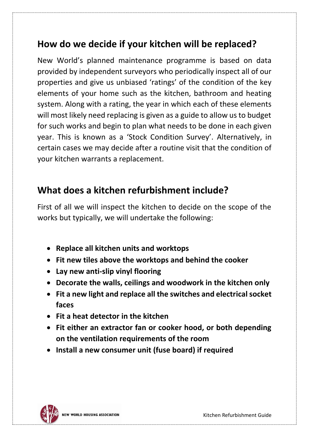#### **How do we decide if your kitchen will be replaced?**

New World's planned maintenance programme is based on data provided by independent surveyors who periodically inspect all of our properties and give us unbiased 'ratings' of the condition of the key elements of your home such as the kitchen, bathroom and heating system. Along with a rating, the year in which each of these elements will most likely need replacing is given as a guide to allow us to budget for such works and begin to plan what needs to be done in each given year. This is known as a 'Stock Condition Survey'. Alternatively, in certain cases we may decide after a routine visit that the condition of your kitchen warrants a replacement.

#### **What does a kitchen refurbishment include?**

First of all we will inspect the kitchen to decide on the scope of the works but typically, we will undertake the following:

- **Replace all kitchen units and worktops**
- **Fit new tiles above the worktops and behind the cooker**
- **Lay new anti-slip vinyl flooring**
- **Decorate the walls, ceilings and woodwork in the kitchen only**
- **Fit a new light and replace all the switches and electrical socket faces**
- **Fit a heat detector in the kitchen**
- **Fit either an extractor fan or cooker hood, or both depending on the ventilation requirements of the room**
- **Install a new consumer unit (fuse board) if required**

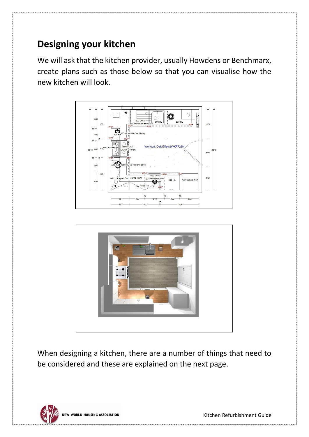## **Designing your kitchen**

We will ask that the kitchen provider, usually Howdens or Benchmarx, create plans such as those below so that you can visualise how the new kitchen will look.





When designing a kitchen, there are a number of things that need to be considered and these are explained on the next page.

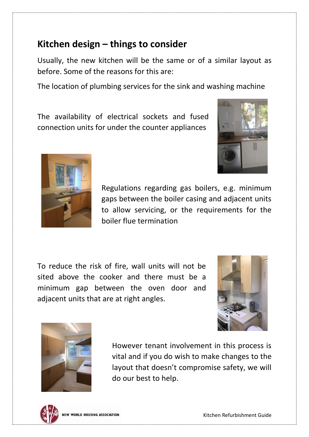#### **Kitchen design – things to consider**

Usually, the new kitchen will be the same or of a similar layout as before. Some of the reasons for this are:

The location of plumbing services for the sink and washing machine

The availability of electrical sockets and fused connection units for under the counter appliances





Regulations regarding gas boilers, e.g. minimum gaps between the boiler casing and adjacent units to allow servicing, or the requirements for the boiler flue termination

To reduce the risk of fire, wall units will not be sited above the cooker and there must be a minimum gap between the oven door and adjacent units that are at right angles.





However tenant involvement in this process is vital and if you do wish to make changes to the layout that doesn't compromise safety, we will do our best to help.

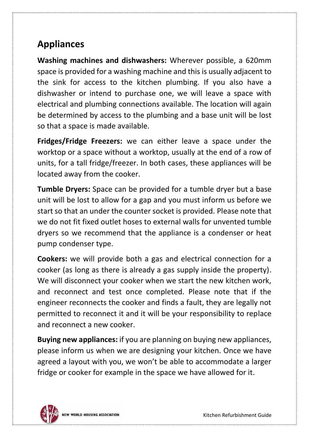## **Appliances**

**Washing machines and dishwashers:** Wherever possible, a 620mm space is provided for a washing machine and this is usually adjacent to the sink for access to the kitchen plumbing. If you also have a dishwasher or intend to purchase one, we will leave a space with electrical and plumbing connections available. The location will again be determined by access to the plumbing and a base unit will be lost so that a space is made available.

**Fridges/Fridge Freezers:** we can either leave a space under the worktop or a space without a worktop, usually at the end of a row of units, for a tall fridge/freezer. In both cases, these appliances will be located away from the cooker.

**Tumble Dryers:** Space can be provided for a tumble dryer but a base unit will be lost to allow for a gap and you must inform us before we start so that an under the counter socket is provided. Please note that we do not fit fixed outlet hoses to external walls for unvented tumble dryers so we recommend that the appliance is a condenser or heat pump condenser type.

**Cookers:** we will provide both a gas and electrical connection for a cooker (as long as there is already a gas supply inside the property). We will disconnect your cooker when we start the new kitchen work, and reconnect and test once completed. Please note that if the engineer reconnects the cooker and finds a fault, they are legally not permitted to reconnect it and it will be your responsibility to replace and reconnect a new cooker.

**Buying new appliances:** if you are planning on buying new appliances, please inform us when we are designing your kitchen. Once we have agreed a layout with you, we won't be able to accommodate a larger fridge or cooker for example in the space we have allowed for it.

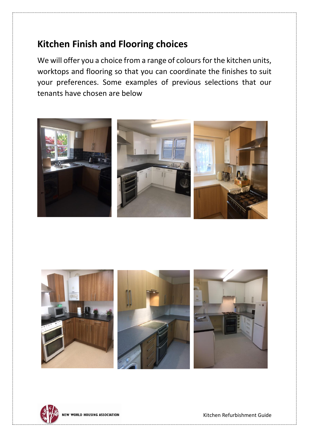#### **Kitchen Finish and Flooring choices**

We will offer you a choice from a range of colours for the kitchen units, worktops and flooring so that you can coordinate the finishes to suit your preferences. Some examples of previous selections that our tenants have chosen are below





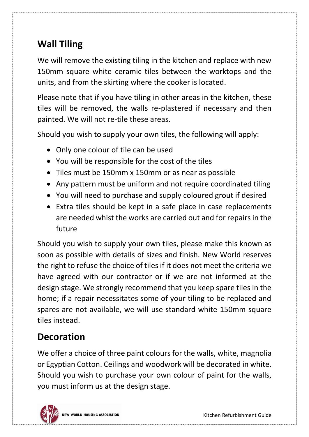# **Wall Tiling**

We will remove the existing tiling in the kitchen and replace with new 150mm square white ceramic tiles between the worktops and the units, and from the skirting where the cooker is located.

Please note that if you have tiling in other areas in the kitchen, these tiles will be removed, the walls re-plastered if necessary and then painted. We will not re-tile these areas.

Should you wish to supply your own tiles, the following will apply:

- Only one colour of tile can be used
- You will be responsible for the cost of the tiles
- Tiles must be 150mm x 150mm or as near as possible
- Any pattern must be uniform and not require coordinated tiling
- You will need to purchase and supply coloured grout if desired
- Extra tiles should be kept in a safe place in case replacements are needed whist the works are carried out and for repairs in the future

Should you wish to supply your own tiles, please make this known as soon as possible with details of sizes and finish. New World reserves the right to refuse the choice of tiles if it does not meet the criteria we have agreed with our contractor or if we are not informed at the design stage. We strongly recommend that you keep spare tiles in the home; if a repair necessitates some of your tiling to be replaced and spares are not available, we will use standard white 150mm square tiles instead.

# **Decoration**

We offer a choice of three paint colours for the walls, white, magnolia or Egyptian Cotton. Ceilings and woodwork will be decorated in white. Should you wish to purchase your own colour of paint for the walls, you must inform us at the design stage.

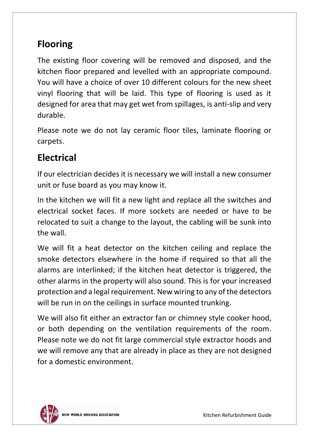## **Flooring**

The existing floor covering will be removed and disposed, and the kitchen floor prepared and levelled with an appropriate compound. You will have a choice of over 10 different colours for the new sheet vinyl flooring that will be laid. This type of flooring is used as it designed for area that may get wet from spillages, is anti-slip and very durable.

Please note we do not lay ceramic floor tiles, laminate flooring or carpets.

### **Electrical**

If our electrician decides it is necessary we will install a new consumer unit or fuse board as you may know it.

In the kitchen we will fit a new light and replace all the switches and electrical socket faces. If more sockets are needed or have to be relocated to suit a change to the layout, the cabling will be sunk into the wall.

We will fit a heat detector on the kitchen ceiling and replace the smoke detectors elsewhere in the home if required so that all the alarms are interlinked; if the kitchen heat detector is triggered, the other alarms in the property will also sound. This is for your increased protection and a legal requirement. New wiring to any of the detectors will be run in on the ceilings in surface mounted trunking.

We will also fit either an extractor fan or chimney style cooker hood, or both depending on the ventilation requirements of the room. Please note we do not fit large commercial style extractor hoods and we will remove any that are already in place as they are not designed for a domestic environment.

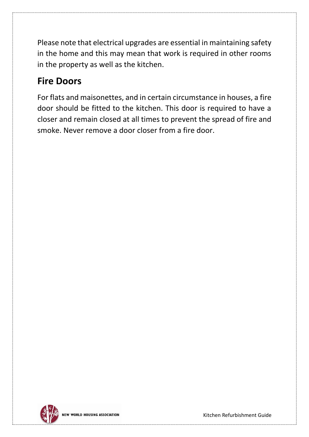Please note that electrical upgrades are essential in maintaining safety in the home and this may mean that work is required in other rooms in the property as well as the kitchen.

## **Fire Doors**

For flats and maisonettes, and in certain circumstance in houses, a fire door should be fitted to the kitchen. This door is required to have a closer and remain closed at all times to prevent the spread of fire and smoke. Never remove a door closer from a fire door.

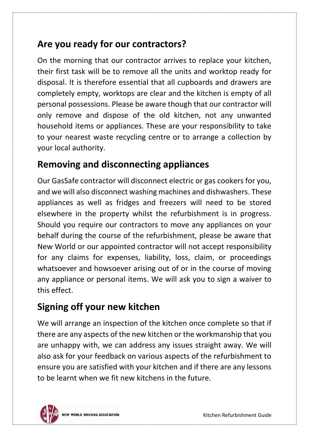### **Are you ready for our contractors?**

On the morning that our contractor arrives to replace your kitchen, their first task will be to remove all the units and worktop ready for disposal. It is therefore essential that all cupboards and drawers are completely empty, worktops are clear and the kitchen is empty of all personal possessions. Please be aware though that our contractor will only remove and dispose of the old kitchen, not any unwanted household items or appliances. These are your responsibility to take to your nearest waste recycling centre or to arrange a collection by your local authority.

### **Removing and disconnecting appliances**

Our GasSafe contractor will disconnect electric or gas cookers for you, and we will also disconnect washing machines and dishwashers. These appliances as well as fridges and freezers will need to be stored elsewhere in the property whilst the refurbishment is in progress. Should you require our contractors to move any appliances on your behalf during the course of the refurbishment, please be aware that New World or our appointed contractor will not accept responsibility for any claims for expenses, liability, loss, claim, or proceedings whatsoever and howsoever arising out of or in the course of moving any appliance or personal items. We will ask you to sign a waiver to this effect.

# **Signing off your new kitchen**

We will arrange an inspection of the kitchen once complete so that if there are any aspects of the new kitchen or the workmanship that you are unhappy with, we can address any issues straight away. We will also ask for your feedback on various aspects of the refurbishment to ensure you are satisfied with your kitchen and if there are any lessons to be learnt when we fit new kitchens in the future.